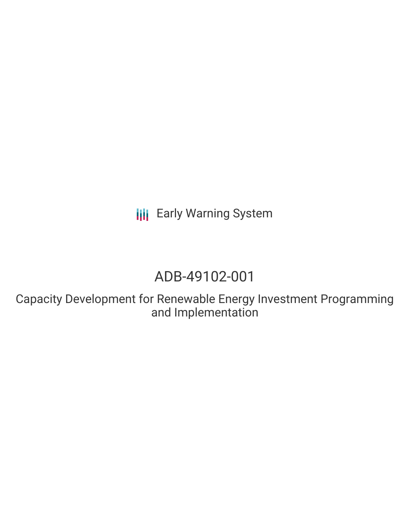**III** Early Warning System

# ADB-49102-001

Capacity Development for Renewable Energy Investment Programming and Implementation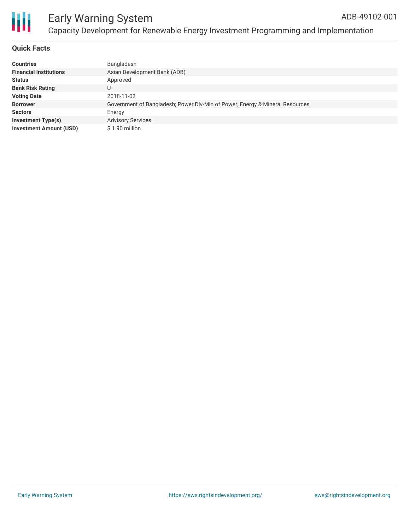

## **Quick Facts**

| <b>Countries</b>               | Bangladesh                                                                   |
|--------------------------------|------------------------------------------------------------------------------|
| <b>Financial Institutions</b>  | Asian Development Bank (ADB)                                                 |
| <b>Status</b>                  | Approved                                                                     |
| <b>Bank Risk Rating</b>        | U                                                                            |
| <b>Voting Date</b>             | 2018-11-02                                                                   |
| <b>Borrower</b>                | Government of Bangladesh; Power Div-Min of Power, Energy & Mineral Resources |
| <b>Sectors</b>                 | Energy                                                                       |
| <b>Investment Type(s)</b>      | <b>Advisory Services</b>                                                     |
| <b>Investment Amount (USD)</b> | \$1.90 million                                                               |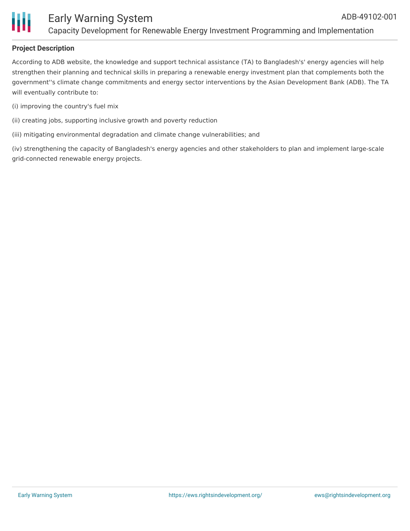

# **Project Description**

According to ADB website, the knowledge and support technical assistance (TA) to Bangladesh's' energy agencies will help strengthen their planning and technical skills in preparing a renewable energy investment plan that complements both the government''s climate change commitments and energy sector interventions by the Asian Development Bank (ADB). The TA will eventually contribute to:

- (i) improving the country's fuel mix
- (ii) creating jobs, supporting inclusive growth and poverty reduction
- (iii) mitigating environmental degradation and climate change vulnerabilities; and

(iv) strengthening the capacity of Bangladesh's energy agencies and other stakeholders to plan and implement large-scale grid-connected renewable energy projects.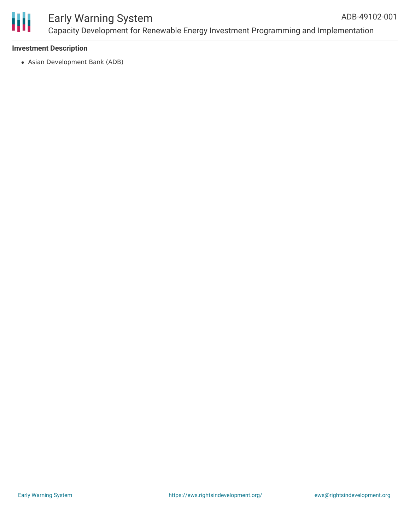

#### Early Warning System Capacity Development for Renewable Energy Investment Programming and Implementation ADB-49102-001

#### **Investment Description**

Asian Development Bank (ADB)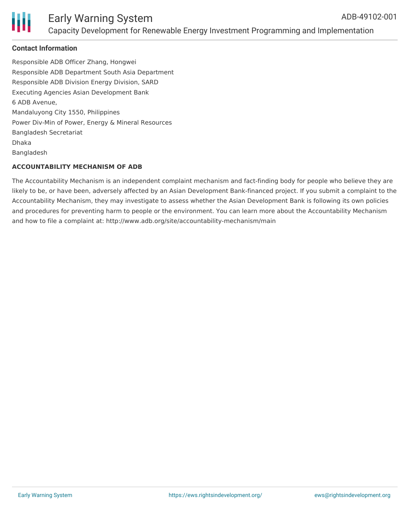

## **Contact Information**

Responsible ADB Officer Zhang, Hongwei Responsible ADB Department South Asia Department Responsible ADB Division Energy Division, SARD Executing Agencies Asian Development Bank 6 ADB Avenue, Mandaluyong City 1550, Philippines Power Div-Min of Power, Energy & Mineral Resources Bangladesh Secretariat Dhaka Bangladesh

#### **ACCOUNTABILITY MECHANISM OF ADB**

The Accountability Mechanism is an independent complaint mechanism and fact-finding body for people who believe they are likely to be, or have been, adversely affected by an Asian Development Bank-financed project. If you submit a complaint to the Accountability Mechanism, they may investigate to assess whether the Asian Development Bank is following its own policies and procedures for preventing harm to people or the environment. You can learn more about the Accountability Mechanism and how to file a complaint at: http://www.adb.org/site/accountability-mechanism/main